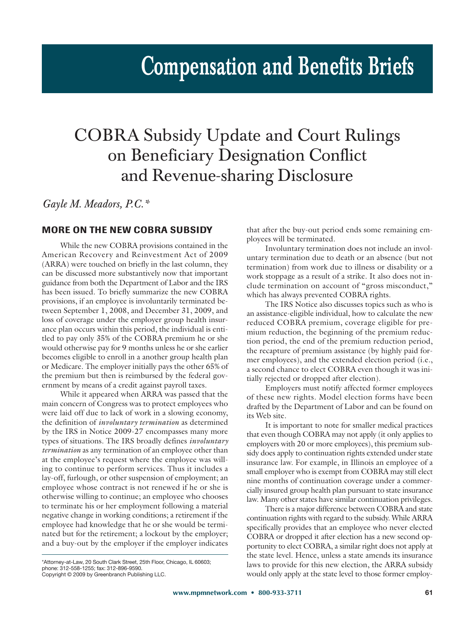# **Compensation and Benefits Briefs**

## COBRA Subsidy Update and Court Rulings on Beneficiary Designation Conflict and Revenue-sharing Disclosure

*Gayle M. Meadors, P.C.\**

### **MORE ON THE NEW COBRA SUBSIDY**

While the new COBRA provisions contained in the American Recovery and Reinvestment Act of 2009 (ARRA) were touched on briefly in the last column, they can be discussed more substantively now that important guidance from both the Department of Labor and the IRS has been issued. To briefly summarize the new COBRA provisions, if an employee is involuntarily terminated between September 1, 2008, and December 31, 2009, and loss of coverage under the employer group health insurance plan occurs within this period, the individual is entitled to pay only 35% of the COBRA premium he or she would otherwise pay for 9 months unless he or she earlier becomes eligible to enroll in a another group health plan or Medicare. The employer initially pays the other 65% of the premium but then is reimbursed by the federal government by means of a credit against payroll taxes.

While it appeared when ARRA was passed that the main concern of Congress was to protect employees who were laid off due to lack of work in a slowing economy, the definition of *involuntary termination* as determined by the IRS in Notice 2009-27 encompasses many more types of situations. The IRS broadly defines *involuntary termination* as any termination of an employee other than at the employee's request where the employee was willing to continue to perform services. Thus it includes a lay-off, furlough, or other suspension of employment; an employee whose contract is not renewed if he or she is otherwise willing to continue; an employee who chooses to terminate his or her employment following a material negative change in working conditions; a retirement if the employee had knowledge that he or she would be terminated but for the retirement; a lockout by the employer; and a buy-out by the employer if the employer indicates

 $\frac{1}{2}$  Separation Clark Street, 20 South Clark Street, 25th Floor, Chicago, Indiana, Indiana, Indiana, Indiana, I phone: 312-558-1255; fax: 312-559-9590.<br>Convright © 2009 by Greenbranch Publis

Copyright © 2009 by Greenbranch Publishing LLC.

that after the buy-out period ends some remaining employees will be terminated.

Involuntary termination does not include an involuntary termination due to death or an absence (but not termination) from work due to illness or disability or a work stoppage as a result of a strike. It also does not include termination on account of "gross misconduct," which has always prevented COBRA rights.

The IRS Notice also discusses topics such as who is an assistance-eligible individual, how to calculate the new reduced COBRA premium, coverage eligible for premium reduction, the beginning of the premium reduction period, the end of the premium reduction period, the recapture of premium assistance (by highly paid former employees), and the extended election period (i.e., a second chance to elect COBRA even though it was initially rejected or dropped after election).

Employers must notify affected former employees of these new rights. Model election forms have been drafted by the Department of Labor and can be found on its Web site.

It is important to note for smaller medical practices that even though COBRA may not apply (it only applies to employers with 20 or more employees), this premium subsidy does apply to continuation rights extended under state insurance law. For example, in Illinois an employee of a small employer who is exempt from COBRA may still elect nine months of continuation coverage under a commercially insured group health plan pursuant to state insurance law. Many other states have similar continuation privileges.

There is a major difference between COBRA and state continuation rights with regard to the subsidy. While ARRA specifically provides that an employee who never elected COBRA or dropped it after election has a new second opportunity to elect COBRA, a similar right does not apply at the state level. Hence, unless a state amends its insurance laws to provide for this new election, the ARRA subsidy would only apply at the state level to those former employ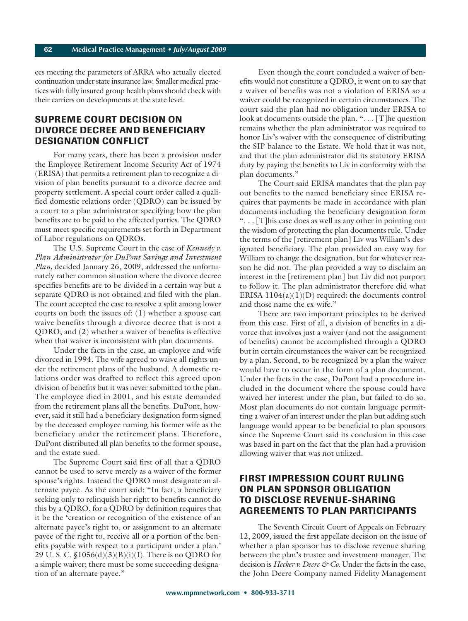ees meeting the parameters of ARRA who actually elected continuation under state insurance law. Smaller medical practices with fully insured group health plans should check with their carriers on developments at the state level.

#### **SUPREME COURT DECISION ON DIVORCE DECREE AND BENEFICIARY DESIGNATION CONFLICT**

For many years, there has been a provision under the Employee Retirement Income Security Act of 1974 (ERISA) that permits a retirement plan to recognize a division of plan benefits pursuant to a divorce decree and property settlement. A special court order called a qualified domestic relations order (QDRO) can be issued by a court to a plan administrator specifying how the plan benefits are to be paid to the affected parties. The QDRO must meet specific requirements set forth in Department of Labor regulations on QDROs.

The U.S. Supreme Court in the case of *Kennedy v. Plan Administrator for DuPont Savings and Investment Plan,* decided January 26, 2009, addressed the unfortunately rather common situation where the divorce decree specifies benefits are to be divided in a certain way but a separate QDRO is not obtained and filed with the plan. The court accepted the case to resolve a split among lower courts on both the issues of: (1) whether a spouse can waive benefits through a divorce decree that is not a QDRO; and (2) whether a waiver of benefits is effective when that waiver is inconsistent with plan documents.

Under the facts in the case, an employee and wife divorced in 1994. The wife agreed to waive all rights under the retirement plans of the husband. A domestic relations order was drafted to reflect this agreed upon division of benefits but it was never submitted to the plan. The employee died in 2001, and his estate demanded from the retirement plans all the benefits. DuPont, however, said it still had a beneficiary designation form signed by the deceased employee naming his former wife as the beneficiary under the retirement plans. Therefore, DuPont distributed all plan benefits to the former spouse, and the estate sued.

The Supreme Court said first of all that a QDRO cannot be used to serve merely as a waiver of the former spouse's rights. Instead the QDRO must designate an alternate payee. As the court said: "In fact, a beneficiary seeking only to relinquish her right to benefits cannot do this by a QDRO, for a QDRO by definition requires that it be the 'creation or recognition of the existence of an alternate payee's right to, or assignment to an alternate payee of the right to, receive all or a portion of the benefits payable with respect to a participant under a plan.' 29 U. S. C. §1056(d)(3)(B)(i)(I). There is no QDRO for a simple waiver; there must be some succeeding designation of an alternate payee."

Even though the court concluded a waiver of benefits would not constitute a QDRO, it went on to say that a waiver of benefits was not a violation of ERISA so a waiver could be recognized in certain circumstances. The court said the plan had no obligation under ERISA to look at documents outside the plan. "... [T]he question remains whether the plan administrator was required to honor Liv's waiver with the consequence of distributing the SIP balance to the Estate. We hold that it was not, and that the plan administrator did its statutory ERISA duty by paying the benefits to Liv in conformity with the plan documents."

The Court said ERISA mandates that the plan pay out benefits to the named beneficiary since ERISA requires that payments be made in accordance with plan documents including the beneficiary designation form ". . . [T]his case does as well as any other in pointing out the wisdom of protecting the plan documents rule. Under the terms of the [retirement plan] Liv was William's designated beneficiary. The plan provided an easy way for William to change the designation, but for whatever reason he did not. The plan provided a way to disclaim an interest in the [retirement plan] but Liv did not purport to follow it. The plan administrator therefore did what ERISA 1104(a)(1)(D) required: the documents control and those name the ex-wife."

There are two important principles to be derived from this case. First of all, a division of benefits in a divorce that involves just a waiver (and not the assignment of benefits) cannot be accomplished through a QDRO but in certain circumstances the waiver can be recognized by a plan. Second, to be recognized by a plan the waiver would have to occur in the form of a plan document. Under the facts in the case, DuPont had a procedure included in the document where the spouse could have waived her interest under the plan, but failed to do so. Most plan documents do not contain language permitting a waiver of an interest under the plan but adding such language would appear to be beneficial to plan sponsors since the Supreme Court said its conclusion in this case was based in part on the fact that the plan had a provision allowing waiver that was not utilized.

#### **FIRST IMPRESSION COURT RULING ON PLAN SPONSOR OBLIGATION TO DISCLOSE REVENUE-SHARING AGREEMENTS TO PLAN PARTICIPANTS**

The Seventh Circuit Court of Appeals on February 12, 2009, issued the first appellate decision on the issue of whether a plan sponsor has to disclose revenue sharing between the plan's trustee and investment manager. The decision is *Hecker v. Deere & Co*. Under the facts in the case, the John Deere Company named Fidelity Management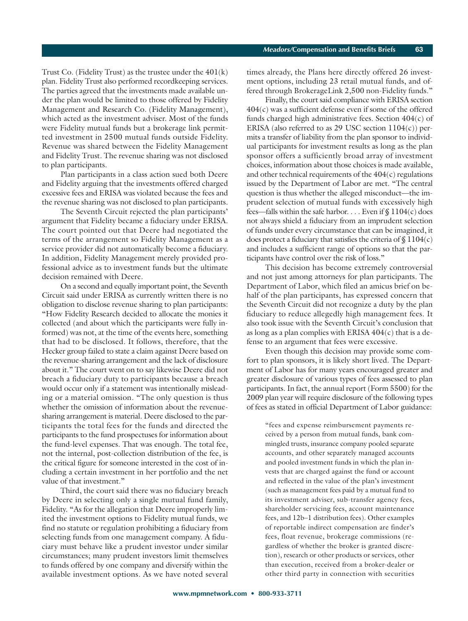Trust Co. (Fidelity Trust) as the trustee under the  $401(k)$ plan. Fidelity Trust also performed recordkeeping services. The parties agreed that the investments made available under the plan would be limited to those offered by Fidelity Management and Research Co. (Fidelity Management), which acted as the investment adviser. Most of the funds were Fidelity mutual funds but a brokerage link permitted investment in 2500 mutual funds outside Fidelity. Revenue was shared between the Fidelity Management and Fidelity Trust. The revenue sharing was not disclosed to plan participants.

Plan participants in a class action sued both Deere and Fidelity arguing that the investments offered charged excessive fees and ERISA was violated because the fees and the revenue sharing was not disclosed to plan participants.

The Seventh Circuit rejected the plan participants' argument that Fidelity became a fiduciary under ERISA. The court pointed out that Deere had negotiated the terms of the arrangement so Fidelity Management as a service provider did not automatically become a fiduciary. In addition, Fidelity Management merely provided professional advice as to investment funds but the ultimate decision remained with Deere.

On a second and equally important point, the Seventh Circuit said under ERISA as currently written there is no obligation to disclose revenue sharing to plan participants: "How Fidelity Research decided to allocate the monies it collected (and about which the participants were fully informed) was not, at the time of the events here, something that had to be disclosed. It follows, therefore, that the Hecker group failed to state a claim against Deere based on the revenue-sharing arrangement and the lack of disclosure about it." The court went on to say likewise Deere did not breach a fiduciary duty to participants because a breach would occur only if a statement was intentionally misleading or a material omission. "The only question is thus whether the omission of information about the revenuesharing arrangement is material. Deere disclosed to the participants the total fees for the funds and directed the participants to the fund prospectuses for information about the fund-level expenses. That was enough. The total fee, not the internal, post-collection distribution of the fee, is the critical figure for someone interested in the cost of including a certain investment in her portfolio and the net value of that investment."

Third, the court said there was no fiduciary breach by Deere in selecting only a single mutual fund family, Fidelity. "As for the allegation that Deere improperly limited the investment options to Fidelity mutual funds, we find no statute or regulation prohibiting a fiduciary from selecting funds from one management company. A fiduciary must behave like a prudent investor under similar circumstances; many prudent investors limit themselves to funds offered by one company and diversify within the available investment options. As we have noted several times already, the Plans here directly offered 26 investment options, including 23 retail mutual funds, and offered through BrokerageLink 2,500 non-Fidelity funds."

Finally, the court said compliance with ERISA section  $404(c)$  was a sufficient defense even if some of the offered funds charged high administrative fees. Section 404(c) of ERISA (also referred to as 29 USC section  $1104(c)$ ) permits a transfer of liability from the plan sponsor to individual participants for investment results as long as the plan sponsor offers a sufficiently broad array of investment choices, information about those choices is made available, and other technical requirements of the  $404(c)$  regulations issued by the Department of Labor are met. "The central question is thus whether the alleged misconduct—the imprudent selection of mutual funds with excessively high fees—falls within the safe harbor. . . . Even if  $\$\,1104(c)$  does not always shield a fiduciary from an imprudent selection of funds under every circumstance that can be imagined, it does protect a fiduciary that satisfies the criteria of  $$1104(c)$ and includes a sufficient range of options so that the participants have control over the risk of loss."

This decision has become extremely controversial and not just among attorneys for plan participants. The Department of Labor, which filed an amicus brief on behalf of the plan participants, has expressed concern that the Seventh Circuit did not recognize a duty by the plan fiduciary to reduce allegedly high management fees. It also took issue with the Seventh Circuit's conclusion that as long as a plan complies with ERISA  $404(c)$  that is a defense to an argument that fees were excessive.

Even though this decision may provide some comfort to plan sponsors, it is likely short lived. The Department of Labor has for many years encouraged greater and greater disclosure of various types of fees assessed to plan participants. In fact, the annual report (Form 5500) for the 2009 plan year will require disclosure of the following types of fees as stated in official Department of Labor guidance:

"fees and expense reimbursement payments received by a person from mutual funds, bank commingled trusts, insurance company pooled separate accounts, and other separately managed accounts and pooled investment funds in which the plan invests that are charged against the fund or account and reflected in the value of the plan's investment (such as management fees paid by a mutual fund to its investment adviser, sub-transfer agency fees, shareholder servicing fees, account maintenance fees, and 12b–1 distribution fees). Other examples of reportable indirect compensation are finder's fees, float revenue, brokerage commissions (regardless of whether the broker is granted discretion), research or other products or services, other than execution, received from a broker-dealer or other third party in connection with securities